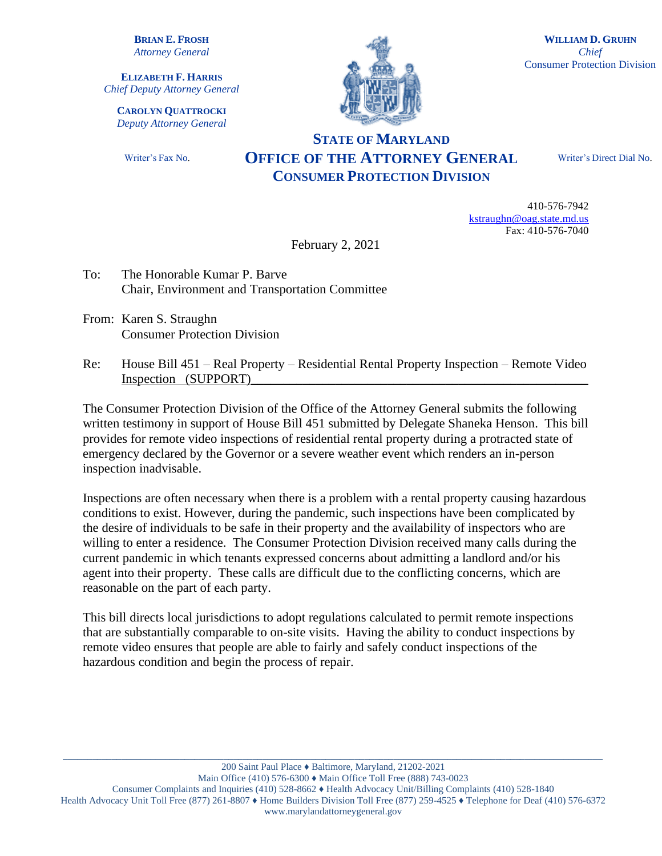**BRIAN E. FROSH** *Attorney General*

**ELIZABETH F. HARRIS** *Chief Deputy Attorney General*

**CAROLYN QUATTROCKI** *Deputy Attorney General*

Writer's Fax No.



**WILLIAM D. GRUHN** *Chief* Consumer Protection Division

## **STATE OF MARYLAND OFFICE OF THE ATTORNEY GENERAL CONSUMER PROTECTION DIVISION**

Writer's Direct Dial No.

410-576-7942 [kstraughn@oag.state.md.us](mailto:kstraughn@oag.state.md.us) Fax: 410-576-7040

February 2, 2021

- To: The Honorable Kumar P. Barve Chair, Environment and Transportation Committee
- From: Karen S. Straughn Consumer Protection Division
- Re: House Bill 451 Real Property Residential Rental Property Inspection Remote Video Inspection (SUPPORT)

The Consumer Protection Division of the Office of the Attorney General submits the following written testimony in support of House Bill 451 submitted by Delegate Shaneka Henson. This bill provides for remote video inspections of residential rental property during a protracted state of emergency declared by the Governor or a severe weather event which renders an in-person inspection inadvisable.

Inspections are often necessary when there is a problem with a rental property causing hazardous conditions to exist. However, during the pandemic, such inspections have been complicated by the desire of individuals to be safe in their property and the availability of inspectors who are willing to enter a residence. The Consumer Protection Division received many calls during the current pandemic in which tenants expressed concerns about admitting a landlord and/or his agent into their property. These calls are difficult due to the conflicting concerns, which are reasonable on the part of each party.

This bill directs local jurisdictions to adopt regulations calculated to permit remote inspections that are substantially comparable to on-site visits. Having the ability to conduct inspections by remote video ensures that people are able to fairly and safely conduct inspections of the hazardous condition and begin the process of repair.